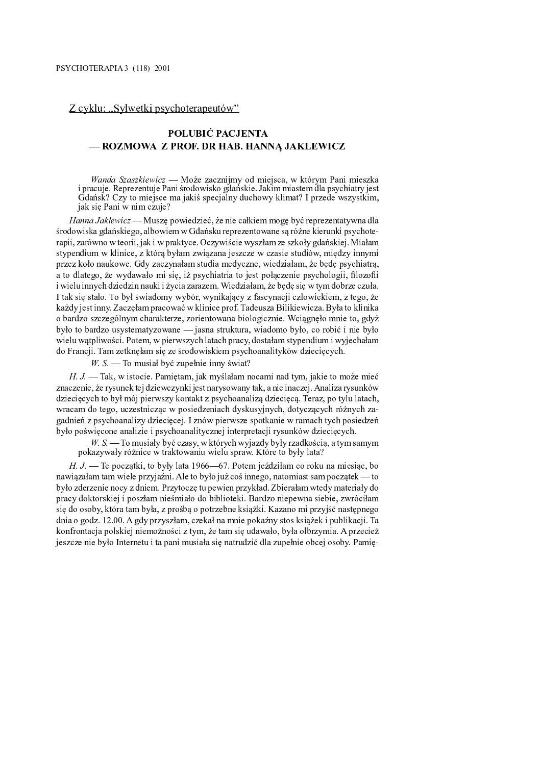## Z cyklu: "Sylwetki psychoterapeutów"

## POLUBIĆ PACJENTA - ROZMOWA Z PROF. DR HAB. HANNA JAKLEWICZ

Wanda Szaszkiewicz — Może zacznijmy od miejsca, w którym Pani mieszka i pracuje. Reprezentuje Pani środowisko gdańskie. Jakim miastem dla psychiatry jest Gdańsk? Czy to miejsce ma jakiś specjalny duchowy klimat? I przede wszystkim, jak się Pani w nim czuje?

Hanna Jaklewicz — Muszę powiedzieć, że nie całkiem mogę być reprezentatywna dla środowiska gdańskiego, albowiem w Gdańsku reprezentowane są różne kierunki psychoterapii, zarówno w teorii, jak i w praktyce. Oczywiście wyszłam ze szkoły gdańskiej. Miałam stypendium w klinice, z którą byłam związana jeszcze w czasie studiów, między innymi przez koło naukowe. Gdy zaczynałam studia medyczne, wiedziałam, że bede psychiatra, a to dlatego, że wydawało mi sie, iż psychiatria to jest połaczenie psychologii, filozofii i wielu innych dziedzin nauki i życia zarazem. Wiedziałam, że bede sie w tym dobrze czuła. I tak się stało. To był świadomy wybór, wynikający z fascynacji człowiekiem, z tego, że każdy jest inny. Zaczęłam pracować w klinice prof. Tadeusza Bilikiewicza. Była to klinika o bardzo szczególnym charakterze, zorientowana biologicznie. Wciagneło mnie to, gdyż było to bardzo usystematyzowane — jasna struktura, wiadomo było, co robić i nie było wielu wątpliwości. Potem, w pierwszych latach pracy, dostałam stypendium i wyjechałam do Francji. Tam zetknęłam się ze środowiskiem psychoanalityków dziecięcych.

 $W. S.$  To musial być zupełnie inny świat?

 $H, J, \_\$ Tak, w istocie. Pamiętam, jak myślałam nocami nad tym, jakie to może mieć znaczenie, że rysunek tej dziewczynki jest narysowany tak, a nie inaczej. Analiza rysunków dziecięcych to był mój pierwszy kontakt z psychoanalizą dziecięcą. Teraz, po tylu latach, wracam do tego, uczestnicząc w posiedzeniach dyskusyjnych, dotyczących różnych zagadnień z psychoanalizy dziecięcej. I znów pierwsze spotkanie w ramach tych posiedzeń było poświęcone analizie i psychoanalitycznej interpretacji rysunków dziecięcych.

W. S. — To musiały być czasy, w których wyjazdy były rzadkością, a tym samym pokazywały różnice w traktowaniu wielu spraw. Które to były lata?

 $H, J.$  Te początki, to były lata 1966—67. Potem jeździłam co roku na miesiąc, bo nawiazałam tam wiele przyjaźni. Ale to było już coś innego, natomiast sam początek — to było zderzenie nocy z dniem. Przytoczę tu pewien przykład. Zbierałam wtedy materiały do pracy doktorskiej i poszłam nieśmiało do biblioteki. Bardzo niepewna siebie, zwróciłam się do osoby, która tam była, z prośbą o potrzebne książki. Kazano mi przyjść następnego dnia o godz. 12.00. A gdy przyszłam, czekał na mnie pokaźny stos ksiażek i publikacji. Ta konfrontacja polskiej niemożności z tym, że tam się udawało, była olbrzymia. A przecież jeszcze nie było Internetu i ta pani musiała się natrudzić dla zupełnie obcej osoby. Pamię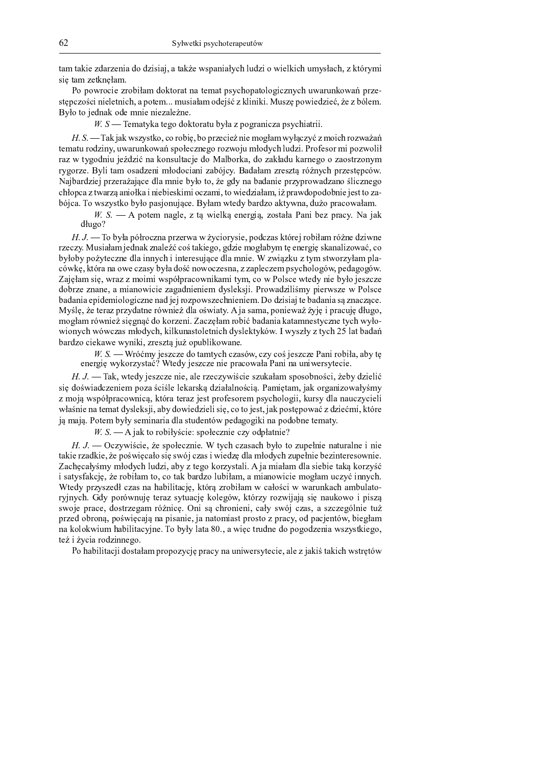tam takie zdarzenia do dzisiaj, a także wspaniałych ludzi o wielkich umysłach, z którymi się tam zetknęłam.

Po powrocie zrobiłam doktorat na temat psychopatologicznych uwarunkowań przestępczości nieletnich, a potem... musiałam odejść z kliniki. Muszę powiedzieć, że z bólem. Było to jednak ode mnie niezależne.

 $W.S$  Tematyka tego doktoratu była z pogranicza psychiatrii.

H. S. — Tak jak wszystko, co robię, bo przecież nie mogłam wyłączyć z moich rozważań tematu rodziny, uwarunkowań społecznego rozwoju młodych ludzi. Profesor mi pozwolił raz w tygodniu jeździć na konsultacje do Malborka, do zakładu karnego o zaostrzonym rygorze. Byli tam osadzeni młodociani zabójcy. Badałam zresztą różnych przestępców. Najbardziej przerażające dla mnie było to, że gdy na badanie przyprowadzano ślicznego chłopca z twarzą aniołka i niebieskimi oczami, to wiedziałam, iż prawdopodobnie jest to zabójca. To wszystko było pasjonujące. Byłam wtedy bardzo aktywna, dużo pracowałam.

 $W. S.$   $- A$  potem nagle, z tą wielką energią, została Pani bez pracy. Na jak długo?

H. J. — To była półroczna przerwa w życiorysie, podczas której robiłam różne dziwne rzeczy. Musiałam jednak znaleźć coś takiego, gdzie mogłabym tę energię skanalizować, co byłoby pożyteczne dla innych i interesujące dla mnie. W związku z tym stworzyłam placówkę, która na owe czasy była dość nowoczesna, z zapleczem psychologów, pedagogów. Zajęłam się, wraz z moimi współpracownikami tym, co w Polsce wtedy nie było jeszcze dobrze znane, a mianowicie zagadnieniem dysleksji. Prowadziliśmy pierwsze w Polsce badania epidemiologiczne nad jej rozpowszechnieniem. Do dzisiaj te badania są znaczące. Myślę, że teraz przydatne również dla oświaty. A ja sama, ponieważ żyję i pracuję długo, mogłam również sięgnąć do korzeni. Zaczęłam robić badania katamnestyczne tych wyłowionych wówczas młodych, kilkunastoletnich dyslektyków. I wyszły z tych 25 lat badań bardzo ciekawe wyniki, zresztą już opublikowane.

 $W_{1}$ , S. — Wróćmy jeszcze do tamtych czasów, czy coś jeszcze Pani robiła, aby tę energię wykorzystać? Wtedy jeszcze nie pracowała Pani na uniwersytecie.

H. J. — Tak, wtedy jeszcze nie, ale rzeczywiście szukałam sposobności, żeby dzielić się doświadczeniem poza ściśle lekarską działalnością. Pamiętam, jak organizowałyśmy z moją współpracownicą, która teraz jest profesorem psychologii, kursy dla nauczycieli właśnie na temat dysleksji, aby dowiedzieli się, co to jest, jak postępować z dziećmi, które ją mają. Potem były seminaria dla studentów pedagogiki na podobne tematy.

 $W. S.$  - A jak to robiłyście: społecznie czy odpłatnie?

 $H. J.$  - Oczywiście, że społecznie. W tych czasach było to zupełnie naturalne i nie takie rzadkie, że poświęcało się swój czas i wiedzę dla młodych zupełnie bezinteresownie. Zachecałyśmy młodych ludzi, aby z tego korzystali. A ja miałam dla siebie taka korzyść i satysfakcję, że robiłam to, co tak bardzo lubiłam, a mianowicie mogłam uczyć innych. Wtedy przyszedł czas na habilitację, którą zrobiłam w całości w warunkach ambulatoryjnych. Gdy porównuję teraz sytuację kolegów, którzy rozwijają się naukowo i piszą swoje prace, dostrzegam różnicę. Oni są chronieni, cały swój czas, a szczególnie tuż przed obroną, poświęcają na pisanie, ja natomiast prosto z pracy, od pacjentów, biegłam na kolokwium habilitacyjne. To były lata 80., a więc trudne do pogodzenia wszystkiego, też i życia rodzinnego.

Po habilitacji dostałam propozycję pracy na uniwersytecie, ale z jakiś takich wstrętów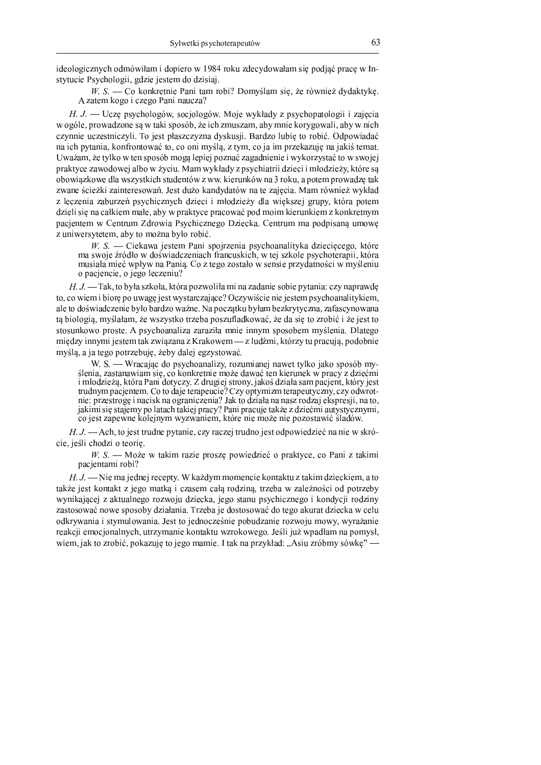ideologicznych odmówiłam i dopiero w 1984 roku zdecydowałam się podjąć pracę w Instytucie Psychologii, gdzie jestem do dzisiaj.

 $W_{1}$ . S. — Co konkretnie Pani tam robi? Domyślam się, że również dydaktykę. A zatem kogo i czego Pani naucza?

H. J. - Uczę psychologów, socjologów. Moje wykłady z psychopatologii i zajęcia w ogóle, prowadzone są w taki sposób, że ich zmuszam, aby mnie korygowali, aby w nich czynnie uczestniczyli. To jest płaszczyzna dyskusji. Bardzo lubię to robić. Odpowiadać na ich pytania, konfrontować to, co oni myślą, z tym, co ja im przekazuję na jakiś temat. Uważam, że tylko w ten sposób mogą lepiej poznać zagadnienie i wykorzystać to w swojej praktyce zawodowej albo w życiu. Mam wykłady z psychiatrii dzieci i młodzieży, które są obowiązkowe dla wszystkich studentów z ww. kierunków na 3 roku, a potem prowadzę tak zwane ścieżki zainteresowań. Jest dużo kandydatów na te zajęcia. Mam również wykład z leczenia zaburzeń psychicznych dzieci i młodzieży dla wiekszej grupy, która potem dzieli się na całkiem małe, aby w praktyce pracować pod moim kierunkiem z konkretnym pacjentem w Centrum Zdrowia Psychicznego Dziecka. Centrum ma podpisaną umowę z uniwersytetem, aby to można było robić.

W. S. — Ciekawa jestem Pani spojrzenia psychoanalityka dziecięcego, które ma swoje źródło w doświadczeniach francuskich, w tej szkole psychoterapii, która musiała mieć wpływ na Panią. Co z tego zostało w sensie przydatności w myśleniu o pacjencie, o jego leczeniu?

 $H, J, \_\$ Tak, to była szkoła, która pozwoliła mi na zadanie sobie pytania: czy naprawdę to, co wiem i biorę po uwagę jest wystarczające? Oczywiście nie jestem psychoanalitykiem, ale to doświadczenie było bardzo ważne. Na początku byłam bezkrytyczna, zafascynowana ta biologia, myślałam, że wszystko trzeba poszufladkować, że da się to zrobić i że jest to stosunkowo proste. A psychoanaliza zaraziła mnie innym sposobem myślenia. Dlatego między innymi jestem tak związana z Krakowem — z ludźmi, którzy tu pracują, podobnie myślą, a ja tego potrzebuję, żeby dalej egzystować.

W. S. — Wracając do psychoanalizy, rozumianej nawet tylko jako sposób myślenia, zastanawiam się, co konkretnie może dawać ten kierunek w pracy z dziećmi i młodzieżą, która Pani dotyczy. Z drugiej strony, jakoś działa sam pacjent, który jest trudnym pacjentem. Co to daje terapeucie? Czy optymizm terapeutyczny, czy odwrotnie: przestrogę i nacisk na ograniczenia? Jak to działa na nasz rodzaj ekspresji, na to, jakimi się stajemy po latach takiej pracy? Pani pracuje także z dziećmi autystycznymi, co jest zapewne kolejnym wyzwaniem, które nie może nie pozostawić śladów.

H. J. — Ach, to jest trudne pytanie, czy raczej trudno jest odpowiedzieć na nie w skrócie, jeśli chodzi o teorie.

W. S. - Może w takim razie proszę powiedzieć o praktyce, co Pani z takimi pacientami robi?

 $H, J.$  - Nie ma jednej recepty. W każdym momencie kontaktu z takim dzieckiem, a to także jest kontakt z jego matką i czasem całą rodziną, trzeba w zależności od potrzeby wynikającej z aktualnego rozwoju dziecka, jego stanu psychicznego i kondycji rodziny zastosować nowe sposoby działania. Trzeba je dostosować do tego akurat dziecka w celu odkrywania i stymulowania. Jest to jednocześnie pobudzanie rozwoju mowy, wyrażanie reakcji emocjonalnych, utrzymanie kontaktu wzrokowego. Jeśli już wpadłam na pomysł, wiem, jak to zrobić, pokazuje to jego mamie. I tak na przykład: "Asiu zróbmy sówke" —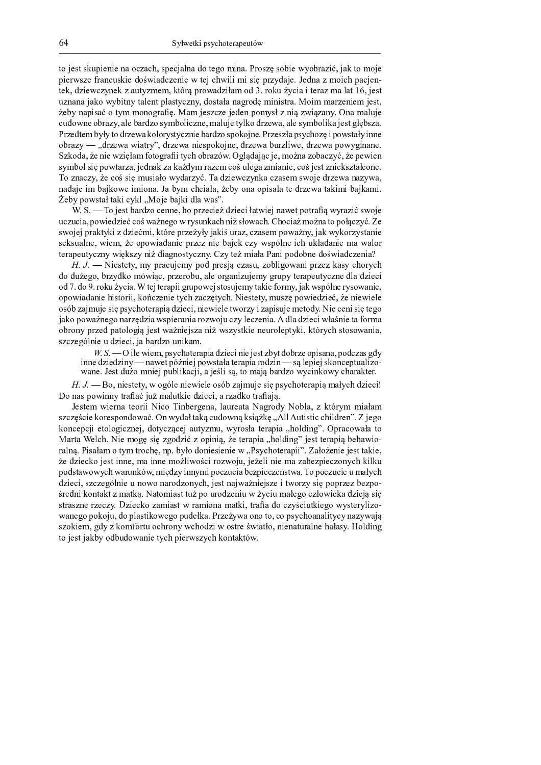to jest skupienie na oczach, specialna do tego mina. Prosze sobie wyobrazić, jak to moje pierwsze francuskie doświadczenie w tej chwili mi się przydaje. Jedna z moich pacjentek, dziewczynek z autyzmem, którą prowadziłam od 3. roku życia i teraz ma lat 16, jest uznana jako wybitny talent plastyczny, dostała nagrodę ministra. Moim marzeniem jest, żeby napisać o tym monografię. Mam jeszcze jeden pomysł z nią związany. Ona maluje cudowne obrazy, ale bardzo symboliczne, maluje tylko drzewa, ale symbolika jest głębsza. Przedtem były to drzewa kolorystycznie bardzo spokojne. Przeszła psychozę i powstały inne  $\alpha$  obrazy — "drzewa wiatry", drzewa niespokojne, drzewa burzliwe, drzewa powyginane. m t i v i a a a b a d i a l i a l i a l i r symbol się powtarza, jednak za każdym razem coś ulega zmianie, coś jest zniekształcone. nn (a chuidhean an chuidhean an chuidhean an chuidhean an chuidhean an chuidhean an chuidhean an chuidhean an c nadaje im bajkowe imiona. Ja bym chciała, żeby ona opisała te drzewa takimi bajkami. <sup>o</sup> <sup>D</sup> <sup>X</sup> <sup>Z</sup> <sup>H</sup> <sup>B</sup> <sup>Y</sup> <sup>E</sup> <sup>A</sup> <sup>K</sup> <sup>b</sup> <sup>A</sup> <sup>K</sup> <sup>F</sup> <sup>I</sup> <sup>L</sup> <sup>Z</sup> <sup>F</sup> <sup>P</sup> <sup>k</sup> <sup>g</sup> <sup>B</sup> <sup>C</sup> <sup>D</sup> <sup>X</sup> <sup>K</sup> <sup>C</sup> <sup>F</sup> <sup>I</sup> <sup>Q</sup> <sup>P</sup> <sup>K</sup> <sup>Y</sup> <sup>K</sup> <sup>E</sup> <sup>l</sup> <sup>T</sup>

<sup>p</sup> <sup>T</sup> <sup>m</sup> <sup>T</sup> <sup>j</sup> <sup>n</sup> <sup>B</sup> <sup>C</sup> <sup>D</sup> <sup>E</sup> <sup>A</sup> <sup>X</sup> <sup>K</sup> <sup>V</sup> <sup>Q</sup> <sup>M</sup> <sup>B</sup> <sup>L</sup> <sup>D</sup> <sup>J</sup> <sup>J</sup> <sup>D</sup> <sup>O</sup> <sup>X</sup> <sup>B</sup> <sup>H</sup> <sup>V</sup> <sup>M</sup> <sup>D</sup> <sup>L</sup> <sup>I</sup> <sup>D</sup> <sup>d</sup> <sup>Q</sup> <sup>M</sup> <sup>I</sup> <sup>D</sup> <sup>L</sup> <sup>I</sup> <sup>b</sup> <sup>K</sup> <sup>A</sup> <sup>Y</sup> <sup>I</sup> <sup>D</sup> <sup>C</sup> <sup>J</sup> <sup>K</sup> <sup>Y</sup> <sup>D</sup> <sup>A</sup> <sup>H</sup> <sup>B</sup> <sup>A</sup> <sup>V</sup> <sup>K</sup> <sup>h</sup> <sup>a</sup> <sup>Y</sup> <sup>Z</sup> <sup>V</sup> <sup>K</sup> <sup>M</sup> <sup>I</sup> [ <sup>E</sup> <sup>Y</sup> <sup>B</sup> <sup>C</sup> <sup>D</sup> uczucia, powiedzieć coś ważnego w rysunkach niż słowach. Chociaż można to połączyć. Ze swojej praktyki z dziećmi, które przeżyły jakiś uraz, czasem poważny, jak wykorzystanie seksualne, wiem, że opowiadanie przez nie bajek czy wspólne ich układanie ma walor terapeutyczny większy niż diagnostyczny. Czy też miała Pani podobne doświadczenia?

t u v d a d a d a l d a l d a l d a l d a l d a l d a l d a l d a l d a l d a l d a l d a l d a l d a l d a l do dużego, brzydko mówiąc, przerobu, ale organizujemy grupy terapeutyczne dla dzieci  $\mathbf{A}$  and  $\mathbf{A}$  and  $\mathbf{A}$  and  $\mathbf{A}$  and  $\mathbf{A}$  and  $\mathbf{A}$  and  $\mathbf{A}$  and  $\mathbf{A}$  and  $\mathbf{A}$  and  $\mathbf{A}$  and  $\mathbf{A}$  and  $\mathbf{A}$  and  $\mathbf{A}$  and  $\mathbf{A}$  and  $\mathbf{A}$  and  $\mathbf{A}$  and  $\mathbf{A}$  and opowiadanie historii, kończenie tych zaczętych. Niestety, muszę powiedzieć, że niewiele osób zajmuje się psychoterapią dzieci, niewiele tworzy i zapisuje metody. Nie ceni się tego jako poważnego narzędzia wspierania rozwoju czy leczenia. A dla dzieci właśnie ta forma obrony przed patologią jest ważniejsza niż wszystkie neuroleptyki, których stosowania, szczególnie u dzieci, ja bardzo unikam.

<sup>|</sup> <sup>u</sup> } <sup>u</sup> <sup>j</sup> <sup>i</sup> <sup>I</sup> <sup>P</sup> <sup>D</sup> <sup>Y</sup> <sup>I</sup> <sup>D</sup> <sup>S</sup> <sup>O</sup> <sup>H</sup> <sup>E</sup> <sup>Z</sup> <sup>L</sup> <sup>N</sup> <sup>B</sup> <sup>A</sup> <sup>D</sup> <sup>V</sup> <sup>K</sup> <sup>H</sup> <sup>I</sup> <sup>K</sup> <sup>Q</sup> <sup>M</sup> <sup>I</sup> <sup>D</sup> <sup>L</sup> <sup>I</sup> <sup>J</sup> <sup>I</sup> <sup>D</sup> <sup>C</sup> <sup>D</sup> <sup>E</sup> <sup>A</sup> <sup>M</sup> <sup>X</sup> <sup>Z</sup> <sup>A</sup> <sup>Q</sup> <sup>B</sup> <sup>X</sup> <sup>V</sup> <sup>M</sup> <sup>D</sup> <sup>B</sup> <sup>H</sup> <sup>I</sup> <sup>E</sup> <sup>K</sup> <sup>J</sup> <sup>K</sup> <sup>O</sup> <sup>H</sup> <sup>B</sup> <sup>Q</sup> <sup>L</sup> <sup>M</sup> <sup>K</sup> <sup>E</sup> <sup>R</sup> <sup>Q</sup> <sup>Z</sup> inne dziedziny — nawet później powstała terapia rodzin — są lepiej skonceptualizowane. Jest dużo mniej publikacji, a jeśli są, to mają bardzo wycinkowy charakter.

<sup>t</sup> <sup>u</sup> <sup>v</sup> <sup>u</sup> <sup>j</sup> <sup>B</sup> <sup>O</sup> <sup>J</sup> <sup>I</sup> <sup>D</sup> <sup>E</sup> <sup>A</sup> <sup>D</sup> <sup>A</sup> <sup>Z</sup> <sup>O</sup> <sup>Y</sup> <sup>B</sup> <sup>R</sup> ` <sup>P</sup> <sup>D</sup> <sup>J</sup> <sup>I</sup> <sup>D</sup> <sup>Y</sup> <sup>I</sup> <sup>D</sup> <sup>P</sup> <sup>D</sup> <sup>B</sup> <sup>E</sup> ` <sup>X</sup> <sup>M</sup> <sup>K</sup> <sup>C</sup> <sup>S</sup> <sup>G</sup> <sup>C</sup> <sup>D</sup> <sup>E</sup> <sup>I</sup> <sup>W</sup> <sup>H</sup> <sup>E</sup> <sup>Z</sup> <sup>L</sup> <sup>N</sup> <sup>B</sup> <sup>A</sup> <sup>D</sup> <sup>V</sup> <sup>K</sup> <sup>H</sup> <sup>I</sup> <sup>a</sup> <sup>S</sup> <sup>K</sup> <sup>b</sup> <sup>Z</sup> <sup>L</sup> <sup>N</sup> <sup>Q</sup> <sup>M</sup> <sup>I</sup> <sup>D</sup> <sup>L</sup> <sup>I</sup>  $B$   $\alpha$  is a grad set of the set of  $\alpha$  in the set of  $\alpha$  in the set of  $\alpha$ 

^ <sup>D</sup> <sup>E</sup> <sup>A</sup> <sup>D</sup> <sup>S</sup> <sup>Y</sup> <sup>I</sup> <sup>D</sup> <sup>V</sup> <sup>J</sup> <sup>K</sup> <sup>A</sup> <sup>D</sup> <sup>B</sup> <sup>V</sup> <sup>I</sup> <sup>I</sup> <sup>w</sup> <sup>I</sup> <sup>L</sup> <sup>B</sup> <sup>n</sup> <sup>I</sup> <sup>J</sup> <sup>X</sup> <sup>D</sup> <sup>V</sup> <sup>R</sup> <sup>D</sup> <sup>J</sup> <sup>K</sup> <sup>O</sup> <sup>P</sup> <sup>K</sup> <sup>G</sup> <sup>V</sup> <sup>D</sup> <sup>K</sup> <sup>A</sup> <sup>K</sup> <sup>w</sup> <sup>K</sup> <sup>R</sup> <sup>V</sup> <sup>B</sup> <sup>Q</sup> <sup>Z</sup> <sup>w</sup> <sup>B</sup> <sup>X</sup> <sup>P</sup> <sup>K</sup> <sup>O</sup> <sup>M</sup> <sup>F</sup> <sup>A</sup> ` <sup>V</sup> <sup>Z</sup> <sup>S</sup> <sup>S</sup> <sup>I</sup> <sup>K</sup> <sup>b</sup> <sup>K</sup> <sup>S</sup> szczęście korespondować. On wydał taką cudowną książkę "All Autistic children". Z jego koncepcji etologicznej, dotyczącej autyzmu, wyrosła terapia "holding". Opracowała to <sup>g</sup> <sup>K</sup> <sup>V</sup> <sup>A</sup> <sup>K</sup> <sup>p</sup> <sup>D</sup> <sup>P</sup> <sup>L</sup> <sup>N</sup> <sup>T</sup> <sup>w</sup> <sup>I</sup> <sup>D</sup> <sup>S</sup> <sup>B</sup> <sup>R</sup> <sup>W</sup> <sup>E</sup> <sup>I</sup> <sup>W</sup> <sup>M</sup> <sup>R</sup> <sup>B</sup> <sup>Q</sup> <sup>M</sup> <sup>I</sup> [ <sup>M</sup> <sup>B</sup> <sup>H</sup> <sup>I</sup> <sup>J</sup> <sup>I</sup> <sup>a</sup> <sup>O</sup> <sup>d</sup> <sup>D</sup> <sup>A</sup> <sup>D</sup> <sup>V</sup> <sup>K</sup> <sup>H</sup> <sup>I</sup> <sup>K</sup> <sup>k</sup> <sup>N</sup> <sup>B</sup> <sup>P</sup> <sup>Q</sup> <sup>I</sup> <sup>J</sup> <sup>R</sup> <sup>l</sup> <sup>C</sup> <sup>D</sup> <sup>E</sup> <sup>A</sup> <sup>A</sup> <sup>D</sup> <sup>V</sup> <sup>K</sup> <sup>H</sup> <sup>I</sup> <sup>a</sup> <sup>X</sup> <sup>D</sup> <sup>N</sup> <sup>K</sup> <sup>Y</sup> <sup>I</sup> <sup>B</sup> \_ ralna. Pisałam o tym trochę, np. było doniesienie w "Psychoterapii". Założenie jest takie, że dziecko jest inne, ma inne możliwości rozwoju, jeżeli nie ma zabezpieczonych kilku n B a t a t a t a t a t a m a t a t dzieci, szczególnie u nowo narodzonych, jest najważniejsze i tworzy się poprzez bezpośredni kontakt z matką. Natomiast tuż po urodzeniu w życiu małego człowieka dzieją się  $\mathbb{R}$  and  $\mathbb{R}$  in the set of the set of the set of the set of the set of the set of the set of the set of the set of the set of the set of the set of the set of the set of the set of the set of the set of the set o wanego pokoju, do plastikowego pudełka. Przeżywa ono to, co psychoanalitycy nazywają szokiem, gdy z komfortu ochrony wchodzi w ostre światło, nienaturalne hałasy. Holding to jest jakby odbudowanie tych pierwszych kontaktów.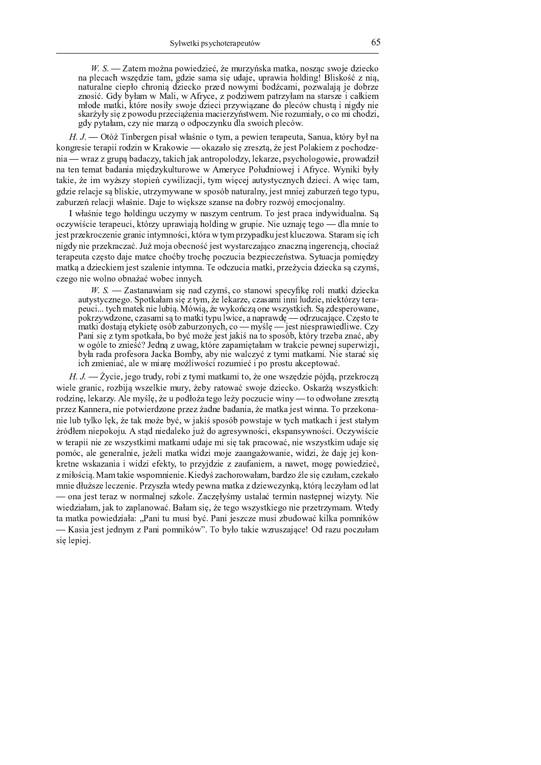$W_{1}$  S. — Zatem można powiedzieć, że murzyńska matka, noszac swoje dziecko na plecach wszędzie tam, gdzie sama się udaje, uprawia holding! Bliskość z nią, naturalne ciepło chronią dziecko przed nowymi bodźcami, pozwalają je dobrze znosić. Gdy byłam w Mali, w Afryce, z podziwem patrzyłam na starsze i całkiem młode matki, które nosiły swoje dzieci przywiązane do pleców chustą i nigdy nie skarżyły się z powodu przeciążenia macierzyństwem. Nie rozumiały, o co mi chodzi, gdy pytałam, czy nie marzą o odpoczynku dla swoich pleców.

H. J. — Otóż Tinbergen pisał właśnie o tym, a pewien terapeuta, Sanua, który był na kongresie terapii rodzin w Krakowie — okazało się zresztą, że jest Polakiem z pochodzenia — wraz z grupą badaczy, takich jak antropolodzy, lekarze, psychologowie, prowadził na ten temat badania międzykulturowe w Ameryce Południowej i Afryce. Wyniki były takie, że im wyższy stopień cywilizacji, tym więcej autystycznych dzieci. A więc tam, gdzie relacje są bliskie, utrzymywane w sposób naturalny, jest mniej zaburzeń tego typu, zaburzeń relacji właśnie. Daje to większe szanse na dobry rozwój emocjonalny.

I właśnie tego holdingu uczymy w naszym centrum. To jest praca indywidualna. Są oczywiście terapeuci, którzy uprawiają holding w grupie. Nie uznaję tego — dla mnie to jest przekroczenie granic intymności, która w tym przypadku jest kluczowa. Staram się ich nigdy nie przekraczać. Już moja obecność jest wystarczająco znaczną ingerencją, chociaż terapeuta często daje matce choćby trochę poczucia bezpieczeństwa. Sytuacja pomiędzy matką a dzieckiem jest szalenie intymna. Te odczucia matki, przeżycia dziecka są czymś, czego nie wolno obnażać wobec innych.

 $W. S.$  - Zastanawiam się nad czymś, co stanowi specyfikę roli matki dziecka autystycznego. Spotkałam się z tym, że lekarze, czasami inni ludzie, niektórzy terapeuci... tych matek nie lubią. Mówią, że wykończą one wszystkich. Są zdesperowane, pokrzywdzone, czasami są to matki typu lwice, a naprawdę — odrzucające. Często te matki dostają etykietę osób zaburzonych, co — myślę — jest niesprawiedliwe. Czy Pani się z tym spotkała, bo być może jest jakiś na to sposób, który trzeba znać, aby w ogóle to znieść? Jedną z uwag, które zapamiętałam w trakcie pewnej superwizji, była rada profesora Jacka Bomby, aby nie walczyć z tymi matkami. Nie starać sie ich zmieniać, ale w miarę możliwości rozumieć i po prostu akceptować.

 $H, J.$  - Życie, jego trudy, robi z tymi matkami to, że one wszędzie pójdą, przekroczą wiele granic, rozbiją wszelkie mury, żeby ratować swoje dziecko. Oskarżą wszystkich: rodzinę, lekarzy. Ale myślę, że u podłoża tego leży poczucie winy — to odwołane zresztą przez Kannera, nie potwierdzone przez żadne badania, że matka jest winna. To przekonanie lub tylko lęk, że tak może być, w jakiś sposób powstaje w tych matkach i jest stałym źródłem niepokoju. A stąd niedaleko już do agresywności, ekspansywności. Oczywiście w terapii nie ze wszystkimi matkami udaje mi się tak pracować, nie wszystkim udaje się pomóc, ale generalnie, jeżeli matka widzi moje zaangażowanie, widzi, że daję jej konkretne wskazania i widzi efekty, to przyjdzie z zaufaniem, a nawet, mogę powiedzieć, z miłością. Mam takie wspomnienie. Kiedyś zachorowałam, bardzo źle się czułam, czekało mnie dłuższe leczenie. Przyszła wtedy pewna matka z dziewczynką, którą leczyłam od lat – ona jest teraz w normalnej szkole. Zaczęłyśmy ustalać termin następnej wizyty. Nie wiedziałam, jak to zaplanować. Bałam się, że tego wszystkiego nie przetrzymam. Wtedy ta matka powiedziała: "Pani tu musi być. Pani jeszcze musi zbudować kilka pomników — Kasia jest jednym z Pani pomników". To było takie wzruszające! Od razu poczułam się lepiej.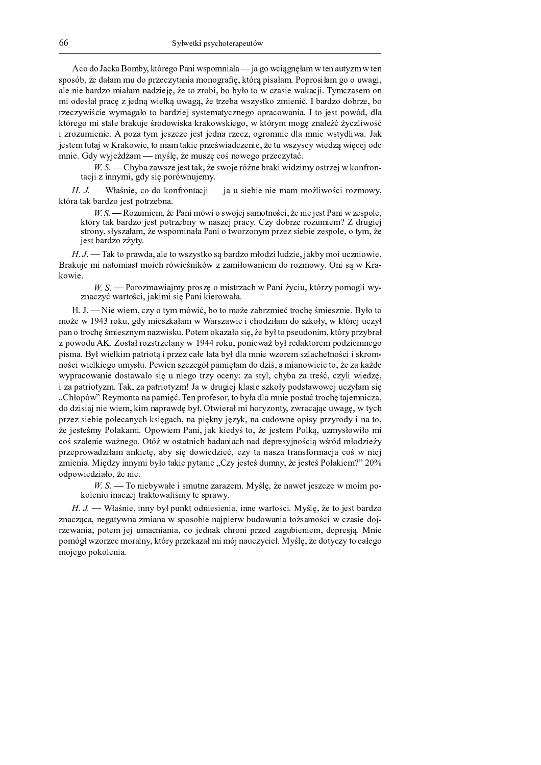A co do Jacka Bomby, którego Pani wspomniała — ja go wciągnęłam w ten autyzm w ten sposób, że dałam mu do przeczytania monografię, którą pisałam. Poprosiłam go o uwagi, ale nie bardzo miałam nadzieję, że to zrobi, bo było to w czasie wakacji. Tymczasem on mi odesłał pracę z jedną wielką uwagą, że trzeba wszystko zmienić. I bardzo dobrze, bo rzeczywiście wymagało to bardziej systematycznego opracowania. I to jest powód, dla którego mi stale brakuje środowiska krakowskiego, w którym mogę znaleźć życzliwość i zrozumienie. A poza tym jeszcze jest jedna rzecz, ogromnie dla mnie wstydliwa. Jak jestem tutaj w Krakowie, to mam takie przeświadczenie, że tu wszyscy wiedza wiecej ode mnie. Gdy wyjeżdżam — myślę, że muszę coś nowego przeczytać.

 $W.S.$  – Chyba zawsze jest tak, że swoje różne braki widzimy ostrzej w konfrontacji z innymi, gdy się porównujemy.

 $H. J.$  Właśnie, co do konfrontacji — ja u siebie nie mam możliwości rozmowy, która tak bardzo jest potrzebna.

W. S. — Rozumiem, że Pani mówi o swojej samotności, że nie jest Pani w zespole, który tak bardzo jest potrzebny w naszej pracy. Czy dobrze rozumiem? Z drugiej strony, słyszałam, że wspominała Pani o tworzonym przez siebie zespole, o tym, że jest bardzo zżyty.

 $H, J$  — Tak to prawda, ale to wszystko są bardzo młodzi ludzie, jakby moi uczniowie. Brakuje mi natomiast mojch rówieśników z zamiłowaniem do rozmowy. Oni sa w Krakowie.

 $W S$ . – Porozmawiajmy proszę o mistrzach w Pani życiu, którzy pomogli wyznaczyć wartości, jakimi się Pani kierowała.

 $H. J.$   $\longrightarrow$  Nie wiem, czy o tym mówić, bo to może zabrzmieć trochę śmiesznie. Było to może w 1943 roku, gdy mieszkałam w Warszawie i chodziłam do szkoły, w której uczył pan o trochę śmiesznym nazwisku. Potem okazało się, że był to pseudonim, który przybrał z powodu AK. Został rozstrzelany w 1944 roku, ponieważ był redaktorem podziemnego pisma. Był wielkim patriota i przez całe lata był dla mnie wzorem szlachetności i skromności wielkiego umysłu. Pewien szczegół pamietam do dziś, a mianowicie to, że za każde wypracowanie dostawało się u niego trzy oceny: za styl, chyba za treść, czyli wiedzę, i za patriotyzm. Tak, za patriotyzm! Ja w drugiej klasie szkoły podstawowej uczyłam się "Chłopów" Reymonta na pamieć. Ten profesor, to była dla mnie postać troche tajemnicza, do dzisiaj nie wiem, kim naprawdę był. Otwierał mi horyzonty, zwracając uwagę, w tych przez siebie polecanych księgach, na piękny język, na cudowne opisy przyrody i na to, że jesteśmy Polakami. Opowiem Pani, jak kiedyś to, że jestem Polką, uzmysłowiło mi coś szalenie ważnego. Otóż w ostatnich badaniach nad depresyjnością wśród młodzieży przeprowadziłam ankietę, aby się dowiedzieć, czy ta nasza transformacja coś w niej zmienia. Miedzy innymi było takie pytanie "Czy jesteś dumny, że jesteś Polakiem?" 20% odpowiedziało, że nie.

 $W. S.$  To niebywałe i smutne zarazem. Myślę, że nawet jeszcze w moim pokoleniu inaczej traktowaliśmy te sprawy.

H. J. — Właśnie, inny był punkt odniesienia, inne wartości. Myślę, że to jest bardzo znacząca, negatywna zmiana w sposobie najpierw budowania tożsamości w czasie dojrzewania, potem jej umacniania, co jednak chroni przed zagubieniem, depresją. Mnie pomógł wzorzec moralny, który przekazał mi mój nauczyciel. Myślę, że dotyczy to całego mojego pokolenia.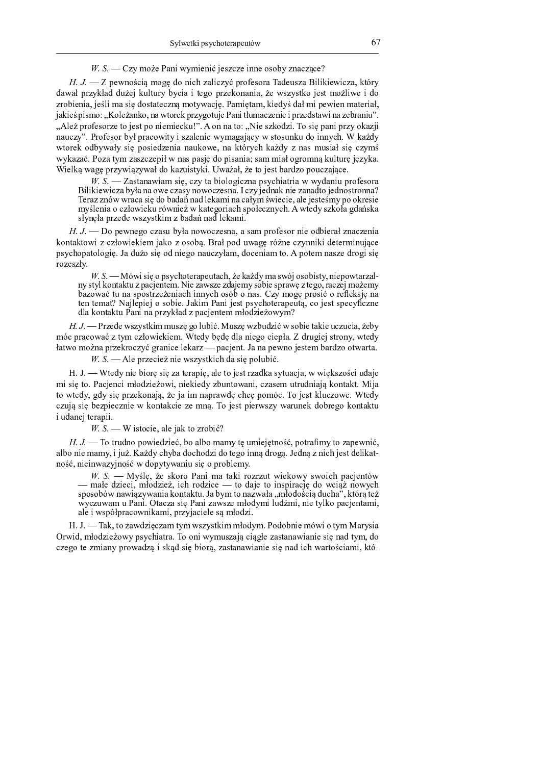. A B A B A B A C D E F G H I J K L M N O F G N O F G N J M N P H R H T F E M J H R H T F E M J H R H T F E M

When the contract of the contract of the contract of the contract of the neutral contract of the  $\mathcal{A}$  distribution of the  $\mathcal{A}$  distribution of the  $\mathcal{A}$  distribution of the  $\mathcal{A}$  distribution of the  $\mathcal{A}$  $\dot{\hspace{1cm}}$  , and a f i d a f i d a f i d a E  $\dot{\hspace{1cm}}$  f i  $\dot{\hspace{1cm}}$  i  $\dot{\hspace{1cm}}$  f  $\dot{\hspace{1cm}}$  i  $\dot{\hspace{1cm}}$  i  $\dot{\hspace{1cm}}$  i  $\dot{\hspace{1cm}}$  i  $\dot{\hspace{1cm}}$  i  $\dot{\hspace{1cm}}$  i  $\dot{\hspace{1cm}}$  i  $\dot{\hspace{1cm}}$  i  $\dot{\hspace{1cm}}$  i  $\dot{\hs$ E <sup>a</sup> <sup>H</sup> <sup>T</sup> <sup>N</sup> <sup>J</sup> <sup>M</sup> <sup>N</sup> <sup>L</sup> <sup>g</sup> <sup>Q</sup> <sup>J</sup> [ ` <sup>N</sup> <sup>G</sup> <sup>L</sup> <sup>R</sup> <sup>N</sup> ] ^ <sup>H</sup> <sup>R</sup> <sup>h</sup> <sup>L</sup> <sup>h</sup> <sup>J</sup> <sup>S</sup> <sup>E</sup> <sup>M</sup> <sup>U</sup> <sup>G</sup> <sup>H</sup> <sup>h</sup> <sup>F</sup> <sup>O</sup> <sup>L</sup> <sup>S</sup> <sup>Q</sup> ] <sup>k</sup> <sup>K</sup> <sup>L</sup> <sup>G</sup> <sup>N</sup> ] <sup>h</sup> <sup>L</sup> <sup>G</sup> <sup>g</sup> <sup>f</sup> <sup>N</sup> <sup>J</sup> ^ <sup>F</sup> [ ^ <sup>L</sup> <sup>j</sup> <sup>G</sup> <sup>N</sup> <sup>Z</sup> <sup>J</sup> <sup>O</sup> <sup>N</sup> <sup>J</sup> <sup>M</sup> <sup>G</sup> <sup>L</sup> <sup>h</sup> <sup>J</sup> <sup>a</sup> <sup>N</sup> <sup>L</sup> <sup>j</sup> <sup>g</sup>  $\mathcal{L}$  is a constant of the distribution of the distribution of the distribution of the distribution of the distribution of the distribution of the distribution of the distribution of the distribution of the distributio m <sup>p</sup> ` <sup>J</sup> <sup>I</sup> <sup>Z</sup> <sup>a</sup> <sup>H</sup> <sup>b</sup> <sup>J</sup> <sup>R</sup> <sup>H</sup> <sup>a</sup> <sup>E</sup> <sup>J</sup> <sup>h</sup> <sup>H</sup> <sup>Q</sup> <sup>J</sup> <sup>R</sup> <sup>h</sup> <sup>Z</sup> <sup>H</sup> <sup>M</sup> <sup>N</sup> <sup>J</sup> <sup>G</sup> <sup>N</sup> <sup>J</sup> <sup>S</sup> <sup>f</sup> <sup>d</sup> <sup>q</sup> <sup>o</sup> <sup>k</sup> <sup>p</sup> <sup>H</sup> <sup>M</sup> <sup>M</sup> <sup>L</sup> <sup>h</sup> <sup>H</sup> <sup>l</sup> <sup>m</sup> <sup>r</sup> <sup>N</sup> <sup>J</sup> <sup>R</sup> <sup>E</sup> <sup>f</sup> <sup>H</sup> ^ <sup>E</sup> <sup>N</sup> <sup>k</sup> <sup>c</sup> <sup>H</sup> <sup>R</sup> <sup>N</sup> ] <sup>Z</sup> <sup>L</sup> <sup>M</sup> <sup>N</sup> <sup>Z</sup> <sup>a</sup> <sup>E</sup> <sup>F</sup> <sup>H</sup> <sup>f</sup> <sup>L</sup> <sup>E</sup> <sup>Q</sup> <sup>N</sup> M L d S E F  $\mathcal{L}$  and the S E L  $\mathcal{L}$  and  $\mathcal{L}$  and  $\mathcal{L}$  and  $\mathcal{L}$  and  $\mathcal{L}$  is f  $\mathcal{L}$  and  $\mathcal{L}$  and  $\mathcal{L}$  and  $\mathcal{L}$  and  $\mathcal{L}$  and  $\mathcal{L}$  and  $\mathcal{L}$  and  $\mathcal{L}$  and  $\mathcal{L}$  and  $\math$  $\mathcal{L} = \mathcal{L} = \mathcal{L} = \mathcal{L} = \mathcal{L} = \mathcal{L} = \mathcal{L} = \mathcal{L} = \mathcal{L} = \mathcal{L} = \mathcal{L} = \mathcal{L} = \mathcal{L} = \mathcal{L} = \mathcal{L} = \mathcal{L} = \mathcal{L} = \mathcal{L} = \mathcal{L} = \mathcal{L} = \mathcal{L} = \mathcal{L} = \mathcal{L} = \mathcal{L} = \mathcal{L} = \mathcal{L} = \mathcal{L} = \mathcal{L} = \mathcal{L} = \mathcal{L} = \mathcal{L} = \mathcal$  $\mathcal{L} = \mathcal{L} = \mathcal{L} = \mathcal{L} = \mathcal{L} = \mathcal{L} = \mathcal{L} = \mathcal{L} = \mathcal{L} = \mathcal{L} = \mathcal{L} = \mathcal{L} = \mathcal{L} = \mathcal{L} = \mathcal{L} = \mathcal{L} = \mathcal{L} = \mathcal{L} = \mathcal{L} = \mathcal{L} = \mathcal{L} = \mathcal{L} = \mathcal{L} = \mathcal{L} = \mathcal{L} = \mathcal{L} = \mathcal{L} = \mathcal{L} = \mathcal{L} = \mathcal{L} = \mathcal{L} = \mathcal$  $s$  and the contract indicate  $s$  and the f  $s$  -f  $s$  indicate  $s$  indicate  $s$  indicate  $s$  indicate  $s$  indicate  $s$  indicate  $s$  in  $s$  in  $s$  in  $s$  in  $s$  in  $s$  in  $s$  in  $s$  in  $s$  in  $s$  in  $s$  in  $s$  in  $s$  in

e <sup>N</sup> ` <sup>N</sup> <sup>f</sup> <sup>N</sup> <sup>J</sup> <sup>O</sup> <sup>N</sup> <sup>S</sup> <sup>E</sup> <sup>L</sup> <sup>T</sup> <sup>F</sup> <sup>j</sup> <sup>L</sup> <sup>M</sup> <sup>L</sup> <sup>H</sup> <sup>O</sup> <sup>J</sup> <sup>S</sup> <sup>E</sup> <sup>L</sup> <sup>R</sup> <sup>F</sup> <sup>M</sup> <sup>H</sup> <sup>O</sup> <sup>H</sup> <sup>S</sup> <sup>E</sup> <sup>J</sup> <sup>R</sup> <sup>M</sup> <sup>L</sup> <sup>k</sup> <sup>v</sup> <sup>S</sup> <sup>E</sup> <sup>F</sup> <sup>Q</sup> <sup>J</sup> ^ <sup>M</sup> <sup>L</sup> <sup>f</sup> <sup>M</sup> <sup>N</sup> <sup>J</sup> <sup>E</sup> <sup>L</sup> <sup>M</sup> <sup>L</sup> ^ <sup>h</sup> <sup>H</sup> <sup>Q</sup> <sup>J</sup> ^ <sup>M</sup> <sup>H</sup> <sup>R</sup> <sup>h</sup> <sup>a</sup> <sup>H</sup> <sup>M</sup> <sup>M</sup> <sup>L</sup> <sup>V</sup>  $\mathcal{L}$  j and a set of the H  $\mathcal{L}$  and  $\mathcal{L}$  f  $\mathcal{L}$  f  $\mathcal{L}$  is the  $\mathcal{L}$  f  $\mathcal{L}$  f  $\mathcal{L}$  f  $\mathcal{L}$  f  $\mathcal{L}$  f  $\mathcal{L}$  f  $\mathcal{L}$  f  $\mathcal{L}$  f  $\mathcal{L}$  f  $\mathcal{L}$  f  $\mathcal{L}$  f  $\mathcal{L}$  f  $\mathcal{L}$ 

 $\mathcal{L} = \mathcal{L} = \mathcal{L} = \mathcal{L} = \mathcal{L} = \mathcal{L} = \mathcal{L} = \mathcal{L} = \mathcal{L} = \mathcal{L} = \mathcal{L} = \mathcal{L} = \mathcal{L} = \mathcal{L} = \mathcal{L} = \mathcal{L} = \mathcal{L} = \mathcal{L} = \mathcal{L} = \mathcal{L} = \mathcal{L} = \mathcal{L} = \mathcal{L} = \mathcal{L} = \mathcal{L} = \mathcal{L} = \mathcal{L} = \mathcal{L} = \mathcal{L} = \mathcal{L} = \mathcal{L} = \mathcal$ f h A M h L f h A H A H A H A H A H T A i I A i A i I A i I d O L f A i M J A i M N f N f N f N f N f N M d Q U  $\mathcal{L} = \mathcal{L} = \mathcal{L} = \mathcal{L} = \mathcal{L} = \mathcal{L} = \mathcal{L} = \mathcal{L} = \mathcal{L} = \mathcal{L} = \mathcal{L} = \mathcal{L} = \mathcal{L} = \mathcal{L} = \mathcal{L} = \mathcal{L} = \mathcal{L} = \mathcal{L} = \mathcal{L} = \mathcal{L} = \mathcal{L} = \mathcal{L} = \mathcal{L} = \mathcal{L} = \mathcal{L} = \mathcal{L} = \mathcal{L} = \mathcal{L} = \mathcal{L} = \mathcal{L} = \mathcal{L} = \mathcal$ a H E H E J R E j F k E j F k E j F k E

The matrix  $T$  is a constant of the matrix  $T$  in the matrix  $T$  and  $T$  and  $T$  are not in the  $T$  and  $T$  and  $T$  and  $T$  are  $T$  and  $T$  and  $T$  are  $T$  and  $T$  and  $T$  and  $T$  are  $T$  and  $T$  and  $T$  and  $T$  and  $T$  a

. A B A B A B A C p A B A C P A C P A C P A L R N 3 N J O R N 3 N J O R H F N S Z H N S Z H N 2 H Z H N P H N

H. J. — Wtedy nie biorę się za terapię, ale to jest rzadka sytuacja, w większości udaj mi sie to. Pacienci młodzieżowi, niekiedy zbuntowani, czasem utrudniają kontakt. Mija h <sup>H</sup> <sup>O</sup> <sup>h</sup> <sup>J</sup> ^ <sup>F</sup> <sup>g</sup> \ ^ <sup>F</sup> <sup>R</sup> <sup>N</sup> ] <sup>Z</sup> <sup>a</sup> <sup>E</sup> <sup>J</sup> <sup>f</sup> <sup>H</sup> <sup>M</sup> <sup>L</sup> <sup>Q</sup> <sup>U</sup> <sup>g</sup> <sup>I</sup> <sup>J</sup> <sup>Q</sup> <sup>L</sup> <sup>N</sup> <sup>G</sup> <sup>M</sup> <sup>L</sup> <sup>Z</sup> <sup>a</sup> <sup>L</sup> <sup>O</sup> ^ ] <sup>S</sup> \_ <sup>S</sup> ] <sup>Z</sup> <sup>H</sup> <sup>G</sup> <sup>i</sup> <sup>S</sup> <sup>k</sup> <sup>c</sup> <sup>H</sup> <sup>Q</sup> <sup>J</sup> <sup>R</sup> <sup>h</sup> <sup>f</sup> ` <sup>d</sup> <sup>S</sup> <sup>E</sup> <sup>H</sup> <sup>O</sup> <sup>J</sup> <sup>k</sup> <sup>s</sup> <sup>h</sup> <sup>J</sup> ^ <sup>F</sup> S E D f H M H L f G M h L f S N J A J A G M H L f H M H L f H M H L f H M H H M H H H H H H F H M H H M H H H N <sup>d</sup> ^ <sup>L</sup> <sup>M</sup> <sup>J</sup> <sup>Q</sup> <sup>h</sup> <sup>J</sup> <sup>a</sup> <sup>L</sup> <sup>Z</sup> <sup>N</sup> <sup>N</sup> <sup>k</sup>

małe dzieci, młodzież, ich rodzice — to daje to inspirację do wciąż nowych L  $\overline{\phantom{a}}$  , and a construction of the construction of the matrix  $\overline{\phantom{a}}$  and  $\overline{\phantom{a}}$  and  $\overline{\phantom{a}}$  and  $\overline{\phantom{a}}$  and  $\overline{\phantom{a}}$  and  $\overline{\phantom{a}}$  and  $\overline{\phantom{a}}$  and  $\overline{\phantom{a}}$  and  $\overline{\phantom{a}}$  and  $\overline{\phantom{$ 

 $\sim$  k  $\sim$  E L  $\sim$  E L  $\sim$  E H  $\sim$  E  $\sim$  H  $\sim$  H  $\sim$  H  $\sim$  H  $\sim$  H  $\sim$  H  $\sim$  H  $\sim$  H  $\sim$  H  $\sim$  H  $\sim$  H  $\sim$  H  $\sim$  H  $\sim$  H  $\sim$  H  $\sim$  H  $\sim$  H  $\sim$  H  $\sim$  H  $\sim$  H  $\sim$  H  $\sim$  H  $\sim$  H  $\sim$  H  $\sim$  H  $\sim$  a O N G j H O F Z R F S L k c H M N O F G d R E L G d R E L G U S N U S N L M L O N L M N J H M N J H G G G G S <sup>E</sup> <sup>J</sup> \ <sup>H</sup> <sup>h</sup> <sup>J</sup> <sup>E</sup> <sup>G</sup> <sup>N</sup> <sup>L</sup> <sup>M</sup> <sup>F</sup> <sup>Z</sup> <sup>a</sup> <sup>H</sup> <sup>O</sup> <sup>L</sup> ^ <sup>E</sup> <sup>U</sup> <sup>N</sup> <sup>R</sup> <sup>f</sup> <sup>U</sup> ^ <sup>R</sup> <sup>N</sup> ] <sup>T</sup> <sup>N</sup> <sup>H</sup> <sup>a</sup> <sup>U</sup> <sup>g</sup> <sup>E</sup> <sup>L</sup> <sup>R</sup> <sup>h</sup> <sup>L</sup> <sup>M</sup> <sup>L</sup> <sup>O</sup> <sup>N</sup> <sup>L</sup> <sup>M</sup> <sup>N</sup> <sup>J</sup> <sup>R</sup> <sup>N</sup> ] <sup>M</sup> <sup>L</sup> ^ <sup>N</sup> <sup>S</sup> \_ <sup>O</sup> <sup>L</sup> <sup>a</sup> <sup>h</sup> <sup>H</sup> [ <sup>S</sup> <sup>N</sup> <sup>L</sup> <sup>G</sup> <sup>N</sup> <sup>g</sup> <sup>f</sup> <sup>h</sup> <sup>i</sup> {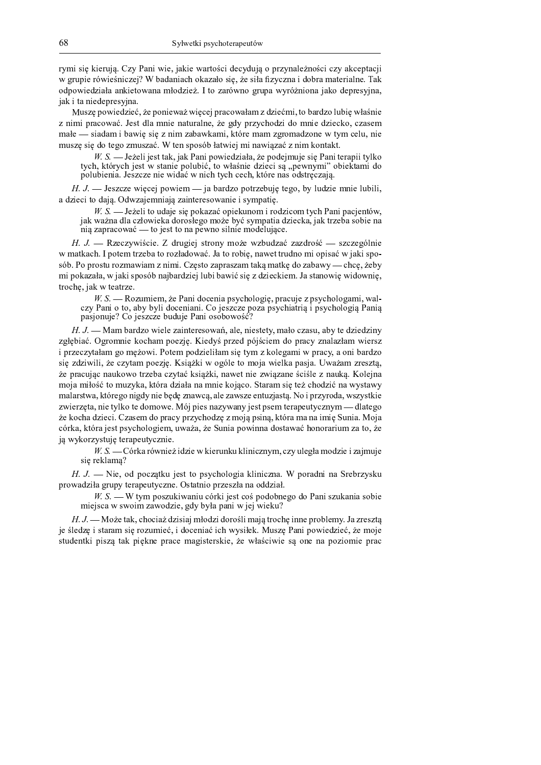rymi sie kierują. Czy Pani wie, jakie wartości decydują o przynależności czy akceptacji w grupie rówieśniczej? W badaniach okazało się, że siła fizyczna i dobra materialne. Tak odpowiedziała ankietowana młodzież. I to zarówno grupa wyróżniona jako depresyjna, jak i ta niedepresyjna.

Muszę powiedzieć, że ponieważ więcej pracowałam z dziećmi, to bardzo lubię właśnie z nimi pracować. Jest dla mnie naturalne, że gdy przychodzi do mnie dziecko, czasem małe — siadam i bawię się z nim zabawkami, które mam zgromadzone w tym celu, nie muszę się do tego zmuszać. W ten sposób łatwiej mi nawiązać z nim kontakt.

 $W.S.$  — Jeżeli jest tak, jak Pani powiedziała, że podejmuje się Pani terapii tylko tych, których jest w stanie polubić, to właśnie dzieci są "pewnymi" obiektami do polubienia. Jeszcze nie widać w nich tych cech, które nas odstręczają.

H. J. - Jeszcze więcej powiem - ja bardzo potrzebuję tego, by ludzie mnie lubili, a dzieci to dają. Odwzajemniają zainteresowanie i sympatię.

W. S. - Jeżeli to udaje się pokazać opiekunom i rodzicom tych Pani pacjentów, jak ważna dla człowieka dorosłego może być sympatia dziecka, jak trzeba sobie na nia zapracować — to jest to na pewno silnie modelujące.

H. J. - Rzeczywiście. Z drugiej strony może wzbudzać zazdrość - szczególnie w matkach. I potem trzeba to rozładować. Ja to robię, nawet trudno mi opisać w jaki sposób. Po prostu rozmawiam z nimi. Często zapraszam taką matkę do zabawy — chcę, żeby mi pokazała, w jaki sposób najbardziej lubi bawić się z dzieckiem. Ja stanowie widownie, troche, jak w teatrze.

W. S. - Rozumiem, że Pani docenia psychologię, pracuje z psychologami, walczy Pani o to, aby byli doceniani. Co jeszcze poza psychiatrią i psychologią Panią pasjonuje? Co jeszcze buduje Pani osobowość?

H. J. - Mam bardzo wiele zainteresowań, ale, niestety, mało czasu, aby te dziedziny zgłębiać. Ogromnie kocham poezje. Kiedyś przed pójściem do pracy znalazłam wiersz i przeczytałam go mężowi. Potem podzieliłam się tym z kolegami w pracy, a oni bardzo się zdziwili, że czytam poezję. Książki w ogóle to moja wielka pasja. Uważam zresztą, że pracując naukowo trzeba czytać książki, nawet nie związane ściśle z nauka. Kolejna moja miłość to muzyka, która działa na mnie kojąco. Staram się też chodzić na wystawy malarstwa, którego nigdy nie będę znawcą, ale zawsze entuzjastą. No i przyroda, wszystkie zwierzęta, nie tylko te domowe. Mój pies nazywany jest psem terapeutycznym — dlatego że kocha dzieci. Czasem do pracy przychodzę z moją psiną, która ma na imię Sunia. Moja córka, która jest psychologiem, uważa, że Sunia powinna dostawać honorarium za to, że ją wykorzystuję terapeutycznie.

W. S. — Córka również idzie w kierunku klinicznym, czy uległa modzie i zajmuje się reklamą?

 $H, J.$  - Nie, od początku jest to psychologia kliniczna. W poradni na Srebrzysku prowadziła grupy terapeutyczne. Ostatnio przeszła na oddział.

 $W.S.$  W tym poszukiwaniu córki jest coś podobnego do Pani szukania sobie miejsca w swoim zawodzie, gdy była pani w jej wieku?

 $H, J$ . Może tak, chociaż dzisiaj młodzi dorośli mają trochę inne problemy. Ja zresztą je śledzę i staram się rozumieć, i doceniać ich wysiłek. Muszę Pani powiedzieć, że moje studentki piszą tak piękne prace magisterskie, że właściwie są one na poziomie prac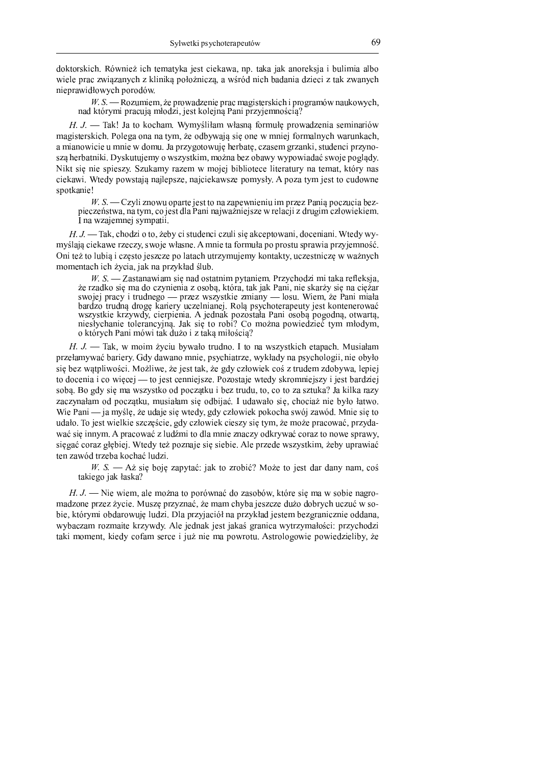doktorskich. Również ich tematyka jest ciekawa, np. taka jak anoreksia i bulimia albo wiele prac związanych z kliniką położniczą, a wśród nich badania dzieci z tak zwanych nieprawidłowych porodów.

 $W, S, \longrightarrow R$ ozumiem, że prowadzenie prac magisterskich i programów naukowych. nad którymi pracują młodzi, jest kolejną Pani przyjemnością?

 $H. J.$  - Tak! Ja to kocham. Wymyśliłam własną formułę prowadzenia seminariów magisterskich. Polega ona na tym, że odbywają się one w mniej formalnych warunkach, a mianowicie u mnie w domu. Ja przygotowuję herbatę, czasem grzanki, studenci przynoszą herbatniki. Dyskutujemy o wszystkim, można bez obawy wypowiadać swoje poglądy. Nikt się nie spieszy. Szukamy razem w mojej bibliotece literatury na temat, który nas ciekawi. Wtedy powstają najlepsze, najciekawsze pomysły. A poza tym jest to cudowne spotkanie!

W. S. — Czyli znowu oparte jest to na zapewnieniu im przez Panią poczucia bezpieczeństwa, na tym, co jest dla Pani najważniejsze w relacji z drugim człowiekiem. I na wzajemnej sympatii.

 $H, J$  — Tak, chodzi o to, żeby ci studenci czuli się akceptowani, doceniani. Wtedy wymyślają ciekawe rzeczy, swoje własne. A mnie ta formuła po prostu sprawia przyjemność. Oni też to lubią i często jeszcze po latach utrzymujemy kontakty, uczestniczę w ważnych momentach ich zveia, jak na przykład ślub.

 $W. S.$  - Zastanawiam się nad ostatnim pytaniem. Przychodzi mi taka refleksja, że rzadko się ma do czynienia z osoba, która, tak jak Pani, nie skarży się na ciężar swojej pracy i trudnego — przez wszystkie zmiany — losu. Wiem, że Pani miała bardzo trudną drogę kariery uczelnianej. Rolą psychoterapeuty jest kontenerować wszystkie krzywdy, cierpienia. A jednak pozostała Pani osoba pogodna, otwarta, niesłychanie tolerancyjna. Jak się to robi? Co można powiedzieć tym młodym. o których Pani mówi tak dużo i z taką miłością?

 $H, J.$  Tak, w moim życiu bywało trudno. I to na wszystkich etapach. Musiałam przełamywać bariery. Gdy dawano mnie, psychiatrze, wykłady na psychologii, nie obyło się bez wątpliwości. Możliwe, że jest tak, że gdy człowiek coś z trudem zdobywa, lepiej to docenia i co więcej — to jest cenniejsze. Pozostaje wtedy skromniejszy i jest bardziej sobą. Bo gdy się ma wszystko od początku i bez trudu, to, co to za sztuka? Ja kilka razy zaczynałam od początku, musiałam się odbijać. I udawało się, chociaż nie było łatwo. Wie Pani — ja myślę, że udaje się wtedy, gdy człowiek pokocha swój zawód. Mnie się to udało. To jest wielkie szczęście, gdy człowiek cieszy się tym, że może pracować, przydawać się innym. A pracować z ludźmi to dla mnie znaczy odkrywać coraz to nowe sprawy. sięgać coraz głębiej. Wtedy też poznaje się siebie. Ale przede wszystkim, żeby uprawiać ten zawód trzeba kochać ludzi.

W. S. — Aż się boję zapytać: jak to zrobić? Może to jest dar dany nam, coś takiego jak łaska?

 $H, J.$  - Nie wiem, ale można to porównać do zasobów, które się ma w sobie nagromadzone przez życie. Muszę przyznać, że mam chyba jeszcze dużo dobrych uczuć w sobie, którymi obdarowuje ludzi. Dla przyjąciół na przykład jestem bezgranicznie oddana. wybaczam rozmaite krzywdy. Ale jednak jest jakaś granica wytrzymałości: przychodzi taki moment, kiedy cofam serce i już nie ma powrotu. Astrologowie powiedzieliby, że